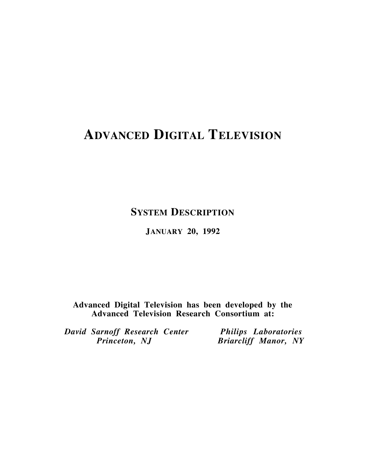# **ADVANCED DIGITAL TELEVISION**

**SYSTEM DESCRIPTION**

**JANUARY 20, 1992**

**Advanced Digital Television has been developed by the Advanced Television Research Consortium at:**

*David Sarnoff Research Center Philips Laboratories*

*Princeton, NJ Briarcliff Manor, NY*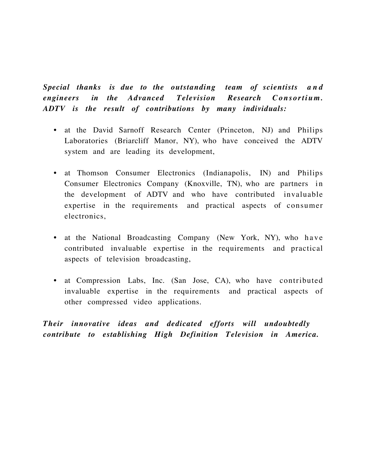*Special thanks is due to the outstanding team of scientists a n d engineers in the Advanced Television Research Consortium. ADTV is the result of contributions by many individuals:*

- at the David Sarnoff Research Center (Princeton, NJ) and Philips Laboratories (Briarcliff Manor, NY), who have conceived the ADTV system and are leading its development,
- at Thomson Consumer Electronics (Indianapolis, IN) and Philips Consumer Electronics Company (Knoxville, TN), who are partners in the development of ADTV and who have contributed invaluable expertise in the requirements and practical aspects of consumer electronics,
- at the National Broadcasting Company (New York, NY), who have contributed invaluable expertise in the requirements and practical aspects of television broadcasting,
- at Compression Labs, Inc. (San Jose, CA), who have contributed invaluable expertise in the requirements and practical aspects of other compressed video applications.

*Their innovative ideas and dedicated efforts will undoubtedly contribute to establishing High Definition Television in America.*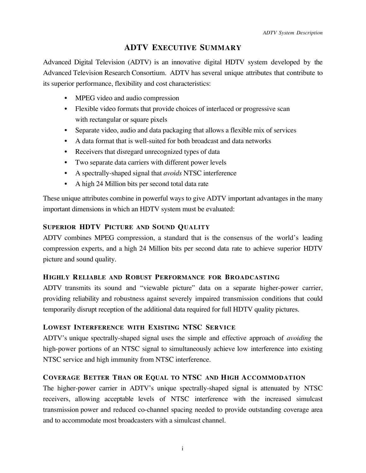### **ADTV EXECUTIVE SUMMARY**

Advanced Digital Television (ADTV) is an innovative digital HDTV system developed by the Advanced Television Research Consortium. ADTV has several unique attributes that contribute to its superior performance, flexibility and cost characteristics:

- MPEG video and audio compression
- Flexible video formats that provide choices of interlaced or progressive scan with rectangular or square pixels
- Separate video, audio and data packaging that allows a flexible mix of services
- A data format that is well-suited for both broadcast and data networks
- Receivers that disregard unrecognized types of data
- Two separate data carriers with different power levels
- A spectrally-shaped signal that *avoids* NTSC interference
- A high 24 Million bits per second total data rate

These unique attributes combine in powerful ways to give ADTV important advantages in the many important dimensions in which an HDTV system must be evaluated:

### **SUPERIOR HDTV PICTURE AND SOUND QUALITY**

ADTV combines MPEG compression, a standard that is the consensus of the world's leading compression experts, and a high 24 Million bits per second data rate to achieve superior HDTV picture and sound quality.

### **HIGHLY RELIABLE AND ROBUST PERFORMANCE FOR BROADCASTING**

ADTV transmits its sound and "viewable picture" data on a separate higher-power carrier, providing reliability and robustness against severely impaired transmission conditions that could temporarily disrupt reception of the additional data required for full HDTV quality pictures.

### **LOWEST INTERFERENCE WITH EXISTING NTSC SERVICE**

ADTV's unique spectrally-shaped signal uses the simple and effective approach of *avoiding* the high-power portions of an NTSC signal to simultaneously achieve low interference into existing NTSC service and high immunity from NTSC interference.

### **COVERAGE BETTER THAN OR EQUAL TO NTSC AND HIGH ACCOMMODATION**

The higher-power carrier in ADTV's unique spectrally-shaped signal is attenuated by NTSC receivers, allowing acceptable levels of NTSC interference with the increased simulcast transmission power and reduced co-channel spacing needed to provide outstanding coverage area and to accommodate most broadcasters with a simulcast channel.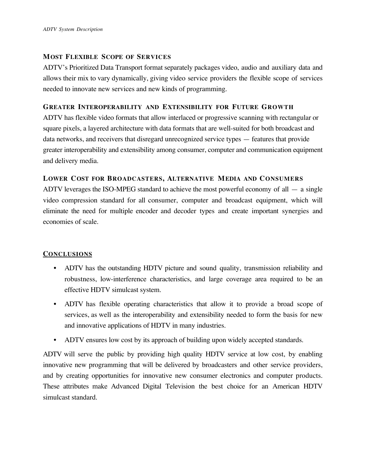### **MOST FLEXIBLE SCOPE OF SERVICES**

ADTV's Prioritized Data Transport format separately packages video, audio and auxiliary data and allows their mix to vary dynamically, giving video service providers the flexible scope of services needed to innovate new services and new kinds of programming.

### **GREATER INTEROPERABILITY AND EXTENSIBILITY FOR FUTURE GROWTH**

ADTV has flexible video formats that allow interlaced or progressive scanning with rectangular or square pixels, a layered architecture with data formats that are well-suited for both broadcast and data networks, and receivers that disregard unrecognized service types — features that provide greater interoperability and extensibility among consumer, computer and communication equipment and delivery media.

### **LOWER COST FOR BROADCASTERS, ALTERNATIVE MEDIA AND CONSUMERS**

ADTV leverages the ISO-MPEG standard to achieve the most powerful economy of all — a single video compression standard for all consumer, computer and broadcast equipment, which will eliminate the need for multiple encoder and decoder types and create important synergies and economies of scale.

### **CONCLUSIONS**

- ADTV has the outstanding HDTV picture and sound quality, transmission reliability and robustness, low-interference characteristics, and large coverage area required to be an effective HDTV simulcast system.
- ADTV has flexible operating characteristics that allow it to provide a broad scope of services, as well as the interoperability and extensibility needed to form the basis for new and innovative applications of HDTV in many industries.
- ADTV ensures low cost by its approach of building upon widely accepted standards.

ADTV will serve the public by providing high quality HDTV service at low cost, by enabling innovative new programming that will be delivered by broadcasters and other service providers, and by creating opportunities for innovative new consumer electronics and computer products. These attributes make Advanced Digital Television the best choice for an American HDTV simulcast standard.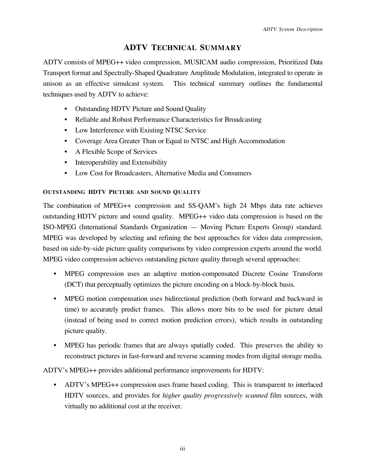### **ADTV TECHNICAL SUMMARY**

ADTV consists of MPEG++ video compression, MUSICAM audio compression, Prioritized Data Transport format and Spectrally-Shaped Quadrature Amplitude Modulation, integrated to operate in unison as an effective simulcast system. This technical summary outlines the fundamental techniques used by ADTV to achieve:

- Outstanding HDTV Picture and Sound Quality
- Reliable and Robust Performance Characteristics for Broadcasting
- Low Interference with Existing NTSC Service
- Coverage Area Greater Than or Equal to NTSC and High Accommodation
- A Flexible Scope of Services
- Interoperability and Extensibility
- Low Cost for Broadcasters, Alternative Media and Consumers

### **OUTSTANDING HDTV PICTURE AND SOUND QUALITY**

The combination of MPEG++ compression and SS-QAM's high 24 Mbps data rate achieves outstanding HDTV picture and sound quality. MPEG++ video data compression is based on the ISO-MPEG (International Standards Organization — Moving Picture Experts Group) standard. MPEG was developed by selecting and refining the best approaches for video data compression, based on side-by-side picture quality comparisons by video compression experts around the world. MPEG video compression achieves outstanding picture quality through several approaches:

- MPEG compression uses an adaptive motion-compensated Discrete Cosine Transform (DCT) that perceptually optimizes the picture encoding on a block-by-block basis.
- MPEG motion compensation uses bidirectional prediction (both forward and backward in time) to accurately predict frames. This allows more bits to be used for picture detail (instead of being used to correct motion prediction errors), which results in outstanding picture quality.
- MPEG has periodic frames that are always spatially coded. This preserves the ability to reconstruct pictures in fast-forward and reverse scanning modes from digital storage media.

ADTV's MPEG++ provides additional performance improvements for HDTV:

• ADTV's MPEG++ compression uses frame based coding. This is transparent to interlaced HDTV sources, and provides for *higher quality progressively scanned* film sources, with virtually no additional cost at the receiver.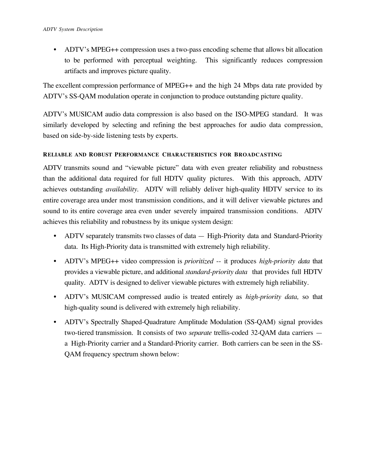• ADTV's MPEG++ compression uses a two-pass encoding scheme that allows bit allocation to be performed with perceptual weighting. This significantly reduces compression artifacts and improves picture quality.

The excellent compression performance of MPEG++ and the high 24 Mbps data rate provided by ADTV's SS-QAM modulation operate in conjunction to produce outstanding picture quality.

ADTV's MUSICAM audio data compression is also based on the ISO-MPEG standard. It was similarly developed by selecting and refining the best approaches for audio data compression, based on side-by-side listening tests by experts.

### **RELIABLE AND ROBUST PERFORMANCE CHARACTERISTICS FOR BROADCASTING**

ADTV transmits sound and "viewable picture" data with even greater reliability and robustness than the additional data required for full HDTV quality pictures. With this approach, ADTV achieves outstanding *availability*. ADTV will reliably deliver high-quality HDTV service to its entire coverage area under most transmission conditions, and it will deliver viewable pictures and sound to its entire coverage area even under severely impaired transmission conditions. ADTV achieves this reliability and robustness by its unique system design:

- ADTV separately transmits two classes of data High-Priority data and Standard-Priority data. Its High-Priority data is transmitted with extremely high reliability.
- ADTV's MPEG++ video compression is *prioritized* -- it produces *high-priority data* that provides a viewable picture, and additional *standard-priority data* that provides full HDTV quality. ADTV is designed to deliver viewable pictures with extremely high reliability.
- ADTV's MUSICAM compressed audio is treated entirely as *high-priority data,* so that high-quality sound is delivered with extremely high reliability.
- ADTV's Spectrally Shaped-Quadrature Amplitude Modulation (SS-QAM) signal provides two-tiered transmission. It consists of two *separate* trellis-coded 32-QAM data carriers a High-Priority carrier and a Standard-Priority carrier. Both carriers can be seen in the SS-QAM frequency spectrum shown below: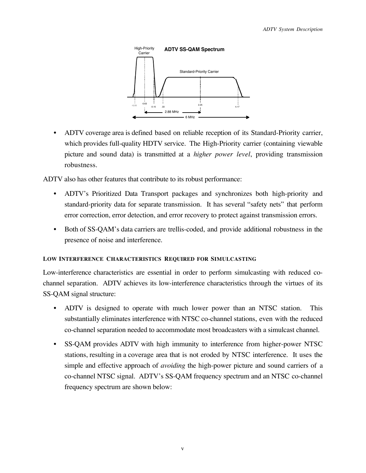

• ADTV coverage area is defined based on reliable reception of its Standard-Priority carrier, which provides full-quality HDTV service. The High-Priority carrier (containing viewable picture and sound data) is transmitted at a *higher power level*, providing transmission robustness.

ADTV also has other features that contribute to its robust performance:

- ADTV's Prioritized Data Transport packages and synchronizes both high-priority and standard-priority data for separate transmission. It has several "safety nets" that perform error correction, error detection, and error recovery to protect against transmission errors.
- Both of SS-QAM's data carriers are trellis-coded, and provide additional robustness in the presence of noise and interference.

#### **LOW INTERFERENCE CHARACTERISTICS REQUIRED FOR SIMULCASTING**

Low-interference characteristics are essential in order to perform simulcasting with reduced cochannel separation. ADTV achieves its low-interference characteristics through the virtues of its SS-QAM signal structure:

- ADTV is designed to operate with much lower power than an NTSC station. This substantially eliminates interference with NTSC co-channel stations, even with the reduced co-channel separation needed to accommodate most broadcasters with a simulcast channel.
- SS-QAM provides ADTV with high immunity to interference from higher-power NTSC stations, resulting in a coverage area that is not eroded by NTSC interference. It uses the simple and effective approach of *avoiding* the high-power picture and sound carriers of a co-channel NTSC signal. ADTV's SS-QAM frequency spectrum and an NTSC co-channel frequency spectrum are shown below: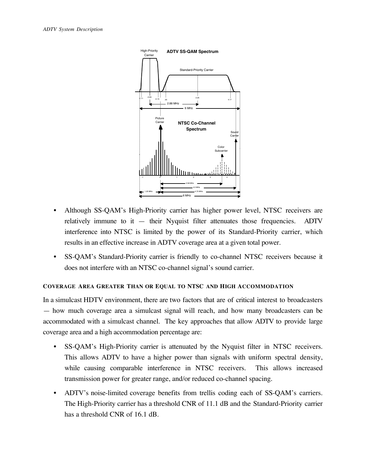

- Although SS-QAM's High-Priority carrier has higher power level, NTSC receivers are relatively immune to it  $-$  their Nyquist filter attenuates those frequencies. ADTV interference into NTSC is limited by the power of its Standard-Priority carrier, which results in an effective increase in ADTV coverage area at a given total power.
- SS-QAM's Standard-Priority carrier is friendly to co-channel NTSC receivers because it does not interfere with an NTSC co-channel signal's sound carrier.

### **COVERAGE AREA GREATER THAN OR EQUAL TO NTSC AND HIGH ACCOMMODATION**

In a simulcast HDTV environment, there are two factors that are of critical interest to broadcasters — how much coverage area a simulcast signal will reach, and how many broadcasters can be accommodated with a simulcast channel. The key approaches that allow ADTV to provide large coverage area and a high accommodation percentage are:

- SS-QAM's High-Priority carrier is attenuated by the Nyquist filter in NTSC receivers. This allows ADTV to have a higher power than signals with uniform spectral density, while causing comparable interference in NTSC receivers. This allows increased transmission power for greater range, and/or reduced co-channel spacing.
- ADTV's noise-limited coverage benefits from trellis coding each of SS-QAM's carriers. The High-Priority carrier has a threshold CNR of 11.1 dB and the Standard-Priority carrier has a threshold CNR of 16.1 dB.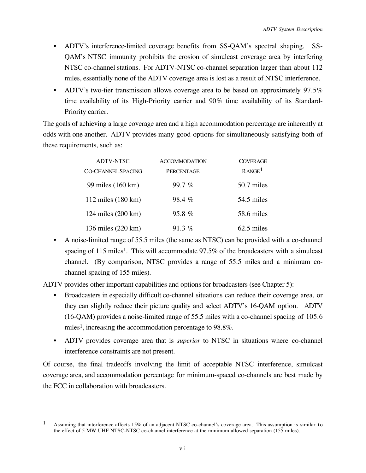- ADTV's interference-limited coverage benefits from SS-QAM's spectral shaping. SS-QAM's NTSC immunity prohibits the erosion of simulcast coverage area by interfering NTSC co-channel stations. For ADTV-NTSC co-channel separation larger than about 112 miles, essentially none of the ADTV coverage area is lost as a result of NTSC interference.
- ADTV's two-tier transmission allows coverage area to be based on approximately 97.5% time availability of its High-Priority carrier and 90% time availability of its Standard-Priority carrier.

The goals of achieving a large coverage area and a high accommodation percentage are inherently at odds with one another. ADTV provides many good options for simultaneously satisfying both of these requirements, such as:

| <b>ADTV-NTSC</b>             | <b>ACCOMMODATION</b> | <b>COVERAGE</b>       |
|------------------------------|----------------------|-----------------------|
| <b>CO-CHANNEL SPACING</b>    | PERCENTAGE           | $R$ ANGE <sup>1</sup> |
| 99 miles (160 km)            | $99.7\%$             | $50.7$ miles          |
| 112 miles $(180 \text{ km})$ | 98.4%                | 54.5 miles            |
| 124 miles $(200 \text{ km})$ | 95.8 $%$             | 58.6 miles            |
| 136 miles (220 km)           | 91.3 $\%$            | 62.5 miles            |

• A noise-limited range of 55.5 miles (the same as NTSC) can be provided with a co-channel spacing of 115 miles<sup>1</sup>. This will accommodate  $97.5\%$  of the broadcasters with a simulcast channel. (By comparison, NTSC provides a range of 55.5 miles and a minimum cochannel spacing of 155 miles).

ADTV provides other important capabilities and options for broadcasters (see Chapter 5):

- Broadcasters in especially difficult co-channel situations can reduce their coverage area, or they can slightly reduce their picture quality and select ADTV's 16-QAM option. ADTV (16-QAM) provides a noise-limited range of 55.5 miles with a co-channel spacing of 105.6 miles<sup>1</sup>, increasing the accommodation percentage to 98.8%.
- ADTV provides coverage area that is *superior* to NTSC in situations where co-channel interference constraints are not present.

Of course, the final tradeoffs involving the limit of acceptable NTSC interference, simulcast coverage area, and accommodation percentage for minimum-spaced co-channels are best made by the FCC in collaboration with broadcasters.

 $\overline{a}$ 

<sup>1</sup> Assuming that interference affects 15% of an adjacent NTSC co-channel's coverage area. This assumption is similar to the effect of 5 MW UHF NTSC-NTSC co-channel interference at the minimum allowed separation (155 miles).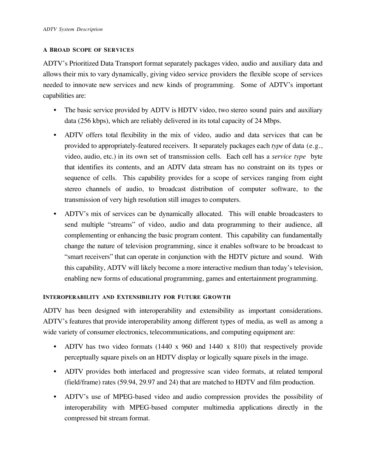### **A BROAD SCOPE OF SERVICES**

ADTV's Prioritized Data Transport format separately packages video, audio and auxiliary data and allows their mix to vary dynamically, giving video service providers the flexible scope of services needed to innovate new services and new kinds of programming. Some of ADTV's important capabilities are:

- The basic service provided by ADTV is HDTV video, two stereo sound pairs and auxiliary data (256 kbps), which are reliably delivered in its total capacity of 24 Mbps.
- ADTV offers total flexibility in the mix of video, audio and data services that can be provided to appropriately-featured receivers. It separately packages each *type* of data (e.g., video, audio, etc.) in its own set of transmission cells. Each cell has a *service type* byte that identifies its contents, and an ADTV data stream has no constraint on its types or sequence of cells. This capability provides for a scope of services ranging from eight stereo channels of audio, to broadcast distribution of computer software, to the transmission of very high resolution still images to computers.
- ADTV's mix of services can be dynamically allocated. This will enable broadcasters to send multiple "streams" of video, audio and data programming to their audience, all complementing or enhancing the basic program content. This capability can fundamentally change the nature of television programming, since it enables software to be broadcast to "smart receivers" that can operate in conjunction with the HDTV picture and sound. With this capability, ADTV will likely become a more interactive medium than today's television, enabling new forms of educational programming, games and entertainment programming.

### **INTEROPERABILITY AND EXTENSIBILITY FOR FUTURE GROWTH**

ADTV has been designed with interoperability and extensibility as important considerations. ADTV's features that provide interoperability among different types of media, as well as among a wide variety of consumer electronics, telecommunications, and computing equipment are:

- ADTV has two video formats (1440 x 960 and 1440 x 810) that respectively provide perceptually square pixels on an HDTV display or logically square pixels in the image.
- ADTV provides both interlaced and progressive scan video formats, at related temporal (field/frame) rates (59.94, 29.97 and 24) that are matched to HDTV and film production.
- ADTV's use of MPEG-based video and audio compression provides the possibility of interoperability with MPEG-based computer multimedia applications directly in the compressed bit stream format.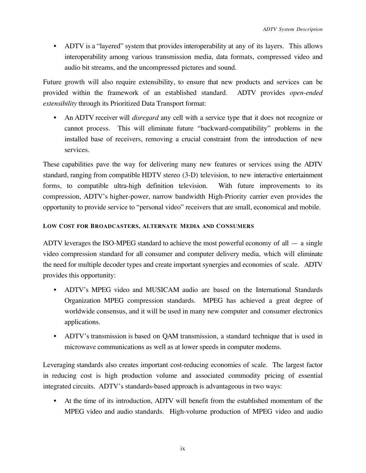• ADTV is a "layered" system that provides interoperability at any of its layers. This allows interoperability among various transmission media, data formats, compressed video and audio bit streams, and the uncompressed pictures and sound.

Future growth will also require extensibility, to ensure that new products and services can be provided within the framework of an established standard. ADTV provides *open-ended extensibility* through its Prioritized Data Transport format:

• An ADTV receiver will *disregard* any cell with a service type that it does not recognize or cannot process. This will eliminate future "backward-compatibility" problems in the installed base of receivers, removing a crucial constraint from the introduction of new services.

These capabilities pave the way for delivering many new features or services using the ADTV standard, ranging from compatible HDTV stereo (3-D) television, to new interactive entertainment forms, to compatible ultra-high definition television. With future improvements to its compression, ADTV's higher-power, narrow bandwidth High-Priority carrier even provides the opportunity to provide service to "personal video" receivers that are small, economical and mobile.

### **LOW COST FOR BROADCASTERS, ALTERNATE MEDIA AND CONSUMERS**

ADTV leverages the ISO-MPEG standard to achieve the most powerful economy of all — a single video compression standard for all consumer and computer delivery media, which will eliminate the need for multiple decoder types and create important synergies and economies of scale. ADTV provides this opportunity:

- ADTV's MPEG video and MUSICAM audio are based on the International Standards Organization MPEG compression standards. MPEG has achieved a great degree of worldwide consensus, and it will be used in many new computer and consumer electronics applications.
- ADTV's transmission is based on QAM transmission, a standard technique that is used in microwave communications as well as at lower speeds in computer modems.

Leveraging standards also creates important cost-reducing economies of scale. The largest factor in reducing cost is high production volume and associated commodity pricing of essential integrated circuits. ADTV's standards-based approach is advantageous in two ways:

• At the time of its introduction, ADTV will benefit from the established momentum of the MPEG video and audio standards. High-volume production of MPEG video and audio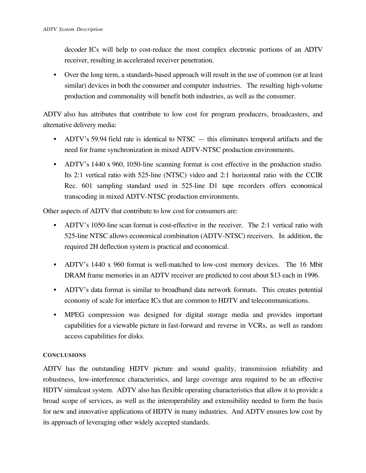decoder ICs will help to cost-reduce the most complex electronic portions of an ADTV receiver, resulting in accelerated receiver penetration.

• Over the long term, a standards-based approach will result in the use of common (or at least similar) devices in both the consumer and computer industries. The resulting high-volume production and commonality will benefit both industries, as well as the consumer.

ADTV also has attributes that contribute to low cost for program producers, broadcasters, and alternative delivery media:

- ADTV's 59.94 field rate is identical to NTSC this eliminates temporal artifacts and the need for frame synchronization in mixed ADTV-NTSC production environments.
- ADTV's 1440 x 960, 1050-line scanning format is cost effective in the production studio. Its 2:1 vertical ratio with 525-line (NTSC) video and 2:1 horizontal ratio with the CCIR Rec. 601 sampling standard used in 525-line D1 tape recorders offers economical transcoding in mixed ADTV-NTSC production environments.

Other aspects of ADTV that contribute to low cost for consumers are:

- ADTV's 1050-line scan format is cost-effective in the receiver. The 2:1 vertical ratio with 525-line NTSC allows economical combination (ADTV-NTSC) receivers. In addition, the required 2H deflection system is practical and economical.
- ADTV's 1440 x 960 format is well-matched to low-cost memory devices. The 16 Mbit DRAM frame memories in an ADTV receiver are predicted to cost about \$13 each in 1996.
- ADTV's data format is similar to broadband data network formats. This creates potential economy of scale for interface ICs that are common to HDTV and telecommunications.
- MPEG compression was designed for digital storage media and provides important capabilities for a viewable picture in fast-forward and reverse in VCRs, as well as random access capabilities for disks.

### **CONCLUSIONS**

ADTV has the outstanding HDTV picture and sound quality, transmission reliability and robustness, low-interference characteristics, and large coverage area required to be an effective HDTV simulcast system. ADTV also has flexible operating characteristics that allow it to provide a broad scope of services, as well as the interoperability and extensibility needed to form the basis for new and innovative applications of HDTV in many industries. And ADTV ensures low cost by its approach of leveraging other widely accepted standards.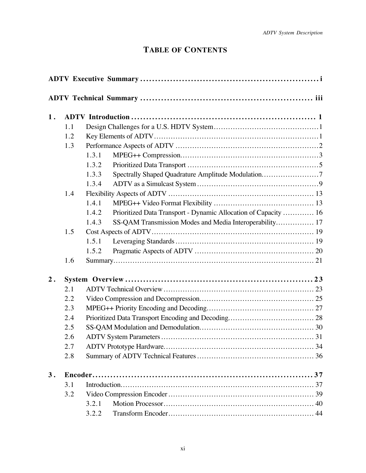### **TABLE OF CONTENTS**

| 1. |     |       |                                                                 |  |
|----|-----|-------|-----------------------------------------------------------------|--|
|    | 1.1 |       |                                                                 |  |
|    | 1.2 |       |                                                                 |  |
|    | 1.3 |       |                                                                 |  |
|    |     | 1.3.1 |                                                                 |  |
|    |     | 1.3.2 |                                                                 |  |
|    |     | 1.3.3 | Spectrally Shaped Quadrature Amplitude Modulation7              |  |
|    |     | 1.3.4 |                                                                 |  |
|    | 1.4 |       |                                                                 |  |
|    |     | 1.4.1 |                                                                 |  |
|    |     | 1.4.2 | Prioritized Data Transport - Dynamic Allocation of Capacity  16 |  |
|    |     | 1.4.3 | SS-QAM Transmission Modes and Media Interoperability 17         |  |
|    | 1.5 |       |                                                                 |  |
|    |     | 1.5.1 |                                                                 |  |
|    |     | 1.5.2 |                                                                 |  |
|    | 1.6 |       |                                                                 |  |
| 2. |     |       |                                                                 |  |
|    | 2.1 |       |                                                                 |  |
|    | 2.2 |       |                                                                 |  |
|    | 2.3 |       |                                                                 |  |
|    | 2.4 |       |                                                                 |  |
|    | 2.5 |       |                                                                 |  |
|    | 2.6 |       |                                                                 |  |
|    | 2.7 |       |                                                                 |  |
|    | 2.8 |       |                                                                 |  |
|    |     |       |                                                                 |  |
| 3. |     |       |                                                                 |  |
|    | 3.1 |       |                                                                 |  |
|    | 3.2 |       |                                                                 |  |
|    |     | 3.2.1 |                                                                 |  |
|    |     | 3.2.2 |                                                                 |  |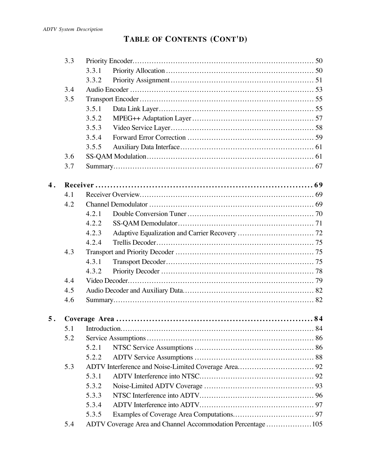## TABLE OF CONTENTS (CONT'D)

|                  | 3.3 |                                                             |
|------------------|-----|-------------------------------------------------------------|
|                  |     | 3.3.1                                                       |
|                  |     | 3.3.2                                                       |
|                  | 3.4 |                                                             |
|                  | 3.5 |                                                             |
|                  |     | 3.5.1                                                       |
|                  |     | 3.5.2                                                       |
|                  |     | 3.5.3                                                       |
|                  |     | 3.5.4                                                       |
|                  |     | 3.5.5                                                       |
|                  | 3.6 |                                                             |
|                  | 3.7 |                                                             |
|                  |     |                                                             |
| $\overline{4}$ . |     |                                                             |
|                  | 4.1 |                                                             |
|                  | 4.2 |                                                             |
|                  |     | 4.2.1                                                       |
|                  |     | 4.2.2                                                       |
|                  |     | 4.2.3                                                       |
|                  |     | 4.2.4                                                       |
|                  | 4.3 |                                                             |
|                  |     | 4.3.1                                                       |
|                  |     | 4.3.2                                                       |
|                  | 4.4 |                                                             |
|                  | 4.5 |                                                             |
|                  | 4.6 |                                                             |
| 5.               |     |                                                             |
|                  | 5.1 |                                                             |
|                  | 5.2 |                                                             |
|                  |     | 5.2.1                                                       |
|                  |     | 5.2.2                                                       |
|                  | 5.3 |                                                             |
|                  |     | 5.3.1                                                       |
|                  |     | 5.3.2                                                       |
|                  |     | 5.3.3                                                       |
|                  |     | 5.3.4                                                       |
|                  |     | 5.3.5                                                       |
|                  | 5.4 | ADTV Coverage Area and Channel Accommodation Percentage 105 |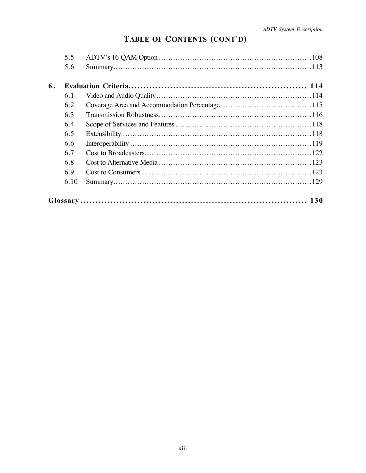## TABLE OF CONTENTS (CONT'D)

|    | 5.5  |  |
|----|------|--|
|    | 5.6  |  |
| 6. |      |  |
|    | 6.1  |  |
|    | 6.2  |  |
|    | 6.3  |  |
|    | 6.4  |  |
|    | 6.5  |  |
|    | 6.6  |  |
|    | 6.7  |  |
|    | 6.8  |  |
|    | 6.9  |  |
|    | 6.10 |  |
|    |      |  |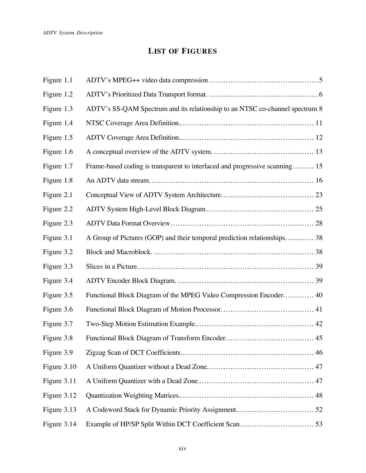### **LIST OF FIGURES**

| Figure 1.1  |                                                                              |
|-------------|------------------------------------------------------------------------------|
| Figure 1.2  |                                                                              |
| Figure 1.3  | ADTV's SS-QAM Spectrum and its relationship to an NTSC co-channel spectrum 8 |
| Figure 1.4  |                                                                              |
| Figure 1.5  |                                                                              |
| Figure 1.6  |                                                                              |
| Figure 1.7  | Frame-based coding is transparent to interlaced and progressive scanning 15  |
| Figure 1.8  |                                                                              |
| Figure 2.1  |                                                                              |
| Figure 2.2  |                                                                              |
| Figure 2.3  |                                                                              |
| Figure 3.1  | A Group of Pictures (GOP) and their temporal prediction relationships.  38   |
| Figure 3.2  |                                                                              |
| Figure 3.3  |                                                                              |
| Figure 3.4  |                                                                              |
| Figure 3.5  | Functional Block Diagram of the MPEG Video Compression Encoder 40            |
| Figure 3.6  |                                                                              |
| Figure 3.7  |                                                                              |
| Figure 3.8  |                                                                              |
| Figure 3.9  |                                                                              |
| Figure 3.10 |                                                                              |
| Figure 3.11 |                                                                              |
| Figure 3.12 |                                                                              |
| Figure 3.13 |                                                                              |
| Figure 3.14 |                                                                              |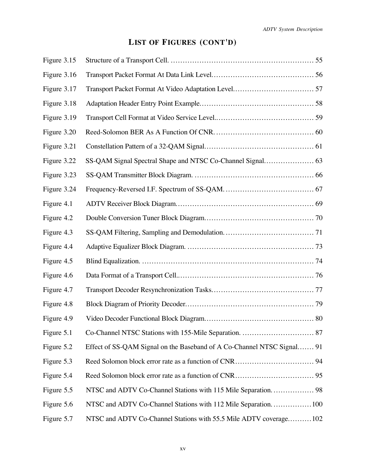## **LIST OF FIGURES (CONT'D)**

| Figure 3.15 |                                                                        |  |
|-------------|------------------------------------------------------------------------|--|
| Figure 3.16 |                                                                        |  |
| Figure 3.17 |                                                                        |  |
| Figure 3.18 |                                                                        |  |
| Figure 3.19 |                                                                        |  |
| Figure 3.20 |                                                                        |  |
| Figure 3.21 |                                                                        |  |
| Figure 3.22 |                                                                        |  |
| Figure 3.23 |                                                                        |  |
| Figure 3.24 |                                                                        |  |
| Figure 4.1  |                                                                        |  |
| Figure 4.2  |                                                                        |  |
| Figure 4.3  |                                                                        |  |
| Figure 4.4  |                                                                        |  |
| Figure 4.5  |                                                                        |  |
| Figure 4.6  |                                                                        |  |
| Figure 4.7  |                                                                        |  |
| Figure 4.8  |                                                                        |  |
| Figure 4.9  |                                                                        |  |
| Figure 5.1  |                                                                        |  |
| Figure 5.2  | Effect of SS-QAM Signal on the Baseband of A Co-Channel NTSC Signal 91 |  |
| Figure 5.3  |                                                                        |  |
| Figure 5.4  |                                                                        |  |
| Figure 5.5  |                                                                        |  |
| Figure 5.6  | NTSC and ADTV Co-Channel Stations with 112 Mile Separation100          |  |
| Figure 5.7  | NTSC and ADTV Co-Channel Stations with 55.5 Mile ADTV coverage102      |  |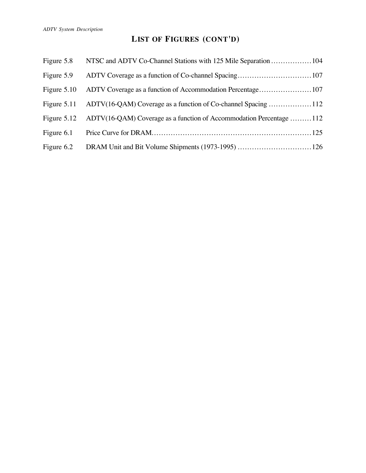## **LIST OF FIGURES (CONT'D)**

| Figure 5.8    | NTSC and ADTV Co-Channel Stations with 125 Mile Separation 104      |  |
|---------------|---------------------------------------------------------------------|--|
| Figure 5.9    |                                                                     |  |
| Figure $5.10$ |                                                                     |  |
| Figure $5.11$ | ADTV(16-QAM) Coverage as a function of Co-channel Spacing 112       |  |
| Figure $5.12$ | ADTV(16-QAM) Coverage as a function of Accommodation Percentage 112 |  |
| Figure 6.1    |                                                                     |  |
| Figure 6.2    |                                                                     |  |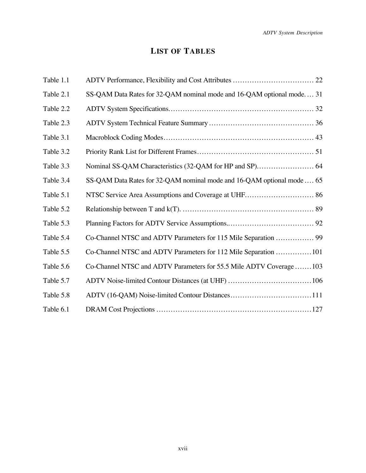### **LIST OF TABLES**

| Table 1.1 |                                                                        |
|-----------|------------------------------------------------------------------------|
| Table 2.1 | SS-QAM Data Rates for 32-QAM nominal mode and 16-QAM optional mode 31  |
| Table 2.2 |                                                                        |
| Table 2.3 |                                                                        |
| Table 3.1 |                                                                        |
| Table 3.2 |                                                                        |
| Table 3.3 |                                                                        |
| Table 3.4 | SS-QAM Data Rates for 32-QAM nominal mode and 16-QAM optional mode  65 |
| Table 5.1 | NTSC Service Area Assumptions and Coverage at UHF 86                   |
| Table 5.2 |                                                                        |
| Table 5.3 |                                                                        |
| Table 5.4 | Co-Channel NTSC and ADTV Parameters for 115 Mile Separation  99        |
| Table 5.5 | Co-Channel NTSC and ADTV Parameters for 112 Mile Separation 101        |
| Table 5.6 | Co-Channel NTSC and ADTV Parameters for 55.5 Mile ADTV Coverage  103   |
| Table 5.7 |                                                                        |
| Table 5.8 |                                                                        |
| Table 6.1 |                                                                        |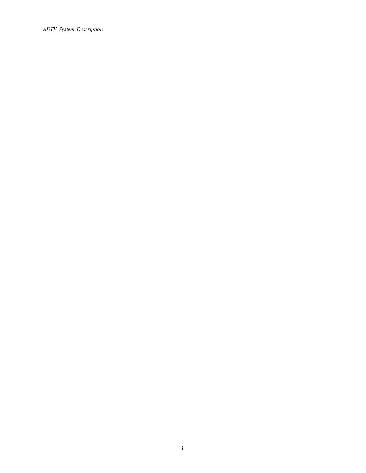*ADTV System Description*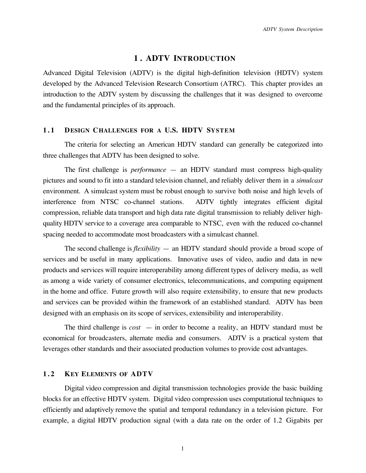### **1 . ADTV INTRODUCTION**

Advanced Digital Television (ADTV) is the digital high-definition television (HDTV) system developed by the Advanced Television Research Consortium (ATRC). This chapter provides an introduction to the ADTV system by discussing the challenges that it was designed to overcome and the fundamental principles of its approach.

#### **1.1 DESIGN CHALLENGES FOR A U.S. HDTV SYSTEM**

The criteria for selecting an American HDTV standard can generally be categorized into three challenges that ADTV has been designed to solve.

The first challenge is *performance* — an HDTV standard must compress high-quality pictures and sound to fit into a standard television channel, and reliably deliver them in a *simulcast* environment. A simulcast system must be robust enough to survive both noise and high levels of interference from NTSC co-channel stations. ADTV tightly integrates efficient digital compression, reliable data transport and high data rate digital transmission to reliably deliver highquality HDTV service to a coverage area comparable to NTSC, even with the reduced co-channel spacing needed to accommodate most broadcasters with a simulcast channel.

The second challenge is *flexibility* — an HDTV standard should provide a broad scope of services and be useful in many applications. Innovative uses of video, audio and data in new products and services will require interoperability among different types of delivery media, as well as among a wide variety of consumer electronics, telecommunications, and computing equipment in the home and office. Future growth will also require extensibility, to ensure that new products and services can be provided within the framework of an established standard. ADTV has been designed with an emphasis on its scope of services, extensibility and interoperability.

The third challenge is *cost* — in order to become a reality, an HDTV standard must be economical for broadcasters, alternate media and consumers. ADTV is a practical system that leverages other standards and their associated production volumes to provide cost advantages.

### **1.2 KEY ELEMENTS OF ADTV**

Digital video compression and digital transmission technologies provide the basic building blocks for an effective HDTV system. Digital video compression uses computational techniques to efficiently and adaptively remove the spatial and temporal redundancy in a television picture. For example, a digital HDTV production signal (with a data rate on the order of 1.2 Gigabits per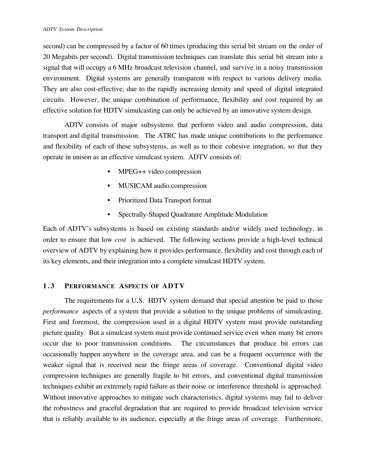second) can be compressed by a factor of 60 times (producing this serial bit stream on the order of 20 Megabits per second). Digital transmission techniques can translate this serial bit stream into a signal that will occupy a 6 MHz broadcast television channel, and survive in a noisy transmission environment. Digital systems are generally transparent with respect to various delivery media. They are also cost-effective, due to the rapidly increasing density and speed of digital integrated circuits. However, the unique combination of performance, flexibility and cost required by an effective solution for HDTV simulcasting can only be achieved by an innovative system design.

ADTV consists of major subsystems that perform video and audio compression, data transport and digital transmission. The ATRC has made unique contributions to the performance and flexibility of each of these subsystems, as well as to their cohesive integration, so that they operate in unison as an effective simulcast system. ADTV consists of:

- MPEG++ video compression
- MUSICAM audio compression
- Prioritized Data Transport format
- Spectrally-Shaped Quadrature Amplitude Modulation

Each of ADTV's subsystems is based on existing standards and/or widely used technology, in order to ensure that low *cost* is achieved. The following sections provide a high-level technical overview of ADTV by explaining how it provides performance, flexibility and cost through each of its key elements, and their integration into a complete simulcast HDTV system.

### **1.3 PERFORMANCE ASPECTS OF ADTV**

The requirements for a U.S. HDTV system demand that special attention be paid to those *performance* aspects of a system that provide a solution to the unique problems of simulcasting. First and foremost, the compression used in a digital HDTV system must provide outstanding picture quality. But a simulcast system must provide continued service even when many bit errors occur due to poor transmission conditions. The circumstances that produce bit errors can occasionally happen anywhere in the coverage area, and can be a frequent occurrence with the weaker signal that is received near the fringe areas of coverage. Conventional digital video compression techniques are generally fragile to bit errors, and conventional digital transmission techniques exhibit an extremely rapid failure as their noise or interference threshold is approached. Without innovative approaches to mitigate such characteristics, digital systems may fail to deliver the robustness and graceful degradation that are required to provide broadcast television service that is reliably available to its audience, especially at the fringe areas of coverage. Furthermore,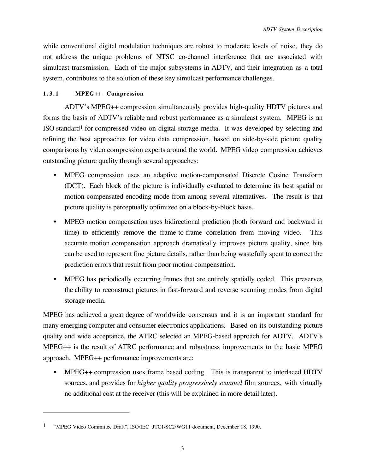while conventional digital modulation techniques are robust to moderate levels of noise, they do not address the unique problems of NTSC co-channel interference that are associated with simulcast transmission. Each of the major subsystems in ADTV, and their integration as a total system, contributes to the solution of these key simulcast performance challenges.

### **1.3.1 MPEG++ Compression**

ADTV's MPEG++ compression simultaneously provides high-quality HDTV pictures and forms the basis of ADTV's reliable and robust performance as a simulcast system. MPEG is an ISO standard<sup>1</sup> for compressed video on digital storage media. It was developed by selecting and refining the best approaches for video data compression, based on side-by-side picture quality comparisons by video compression experts around the world. MPEG video compression achieves outstanding picture quality through several approaches:

- MPEG compression uses an adaptive motion-compensated Discrete Cosine Transform (DCT). Each block of the picture is individually evaluated to determine its best spatial or motion-compensated encoding mode from among several alternatives. The result is that picture quality is perceptually optimized on a block-by-block basis.
- MPEG motion compensation uses bidirectional prediction (both forward and backward in time) to efficiently remove the frame-to-frame correlation from moving video. This accurate motion compensation approach dramatically improves picture quality, since bits can be used to represent fine picture details, rather than being wastefully spent to correct the prediction errors that result from poor motion compensation.
- MPEG has periodically occurring frames that are entirely spatially coded. This preserves the ability to reconstruct pictures in fast-forward and reverse scanning modes from digital storage media.

MPEG has achieved a great degree of worldwide consensus and it is an important standard for many emerging computer and consumer electronics applications. Based on its outstanding picture quality and wide acceptance, the ATRC selected an MPEG-based approach for ADTV. ADTV's MPEG++ is the result of ATRC performance and robustness improvements to the basic MPEG approach. MPEG++ performance improvements are:

• MPEG++ compression uses frame based coding. This is transparent to interlaced HDTV sources, and provides for *higher quality progressively scanned* film sources, with virtually no additional cost at the receiver (this will be explained in more detail later).

 $\overline{a}$ 

<sup>1</sup> "MPEG Video Committee Draft", ISO/IEC JTC1/SC2/WG11 document, December 18, 1990.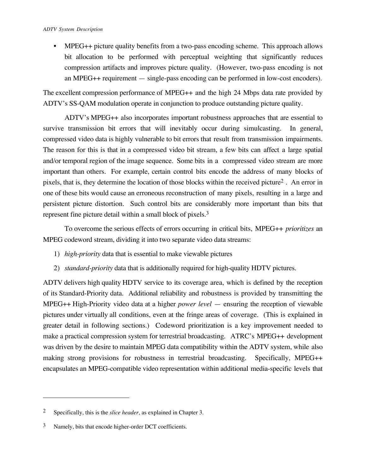• MPEG++ picture quality benefits from a two-pass encoding scheme. This approach allows bit allocation to be performed with perceptual weighting that significantly reduces compression artifacts and improves picture quality. (However, two-pass encoding is not an MPEG++ requirement — single-pass encoding can be performed in low-cost encoders).

The excellent compression performance of MPEG++ and the high 24 Mbps data rate provided by ADTV's SS-QAM modulation operate in conjunction to produce outstanding picture quality.

ADTV's MPEG++ also incorporates important robustness approaches that are essential to survive transmission bit errors that will inevitably occur during simulcasting. In general, compressed video data is highly vulnerable to bit errors that result from transmission impairments. The reason for this is that in a compressed video bit stream, a few bits can affect a large spatial and/or temporal region of the image sequence. Some bits in a compressed video stream are more important than others. For example, certain control bits encode the address of many blocks of pixels, that is, they determine the location of those blocks within the received picture2 . An error in one of these bits would cause an erroneous reconstruction of many pixels, resulting in a large and persistent picture distortion. Such control bits are considerably more important than bits that represent fine picture detail within a small block of pixels.3

To overcome the serious effects of errors occurring in critical bits, MPEG++ *prioritizes* an MPEG codeword stream, dividing it into two separate video data streams:

- 1) *high-priority* data that is essential to make viewable pictures
- 2) *standard-priority* data that is additionally required for high-quality HDTV pictures.

ADTV delivers high quality HDTV service to its coverage area, which is defined by the reception of its Standard-Priority data. Additional reliability and robustness is provided by transmitting the MPEG++ High-Priority video data at a higher *power level* — ensuring the reception of viewable pictures under virtually all conditions, even at the fringe areas of coverage. (This is explained in greater detail in following sections.) Codeword prioritization is a key improvement needed to make a practical compression system for terrestrial broadcasting. ATRC's MPEG++ development was driven by the desire to maintain MPEG data compatibility within the ADTV system, while also making strong provisions for robustness in terrestrial broadcasting. Specifically, MPEG++ encapsulates an MPEG-compatible video representation within additional media-specific levels that

-

<sup>2</sup> Specifically, this is the *slice header*, as explained in Chapter 3.

<sup>3</sup> Namely, bits that encode higher-order DCT coefficients.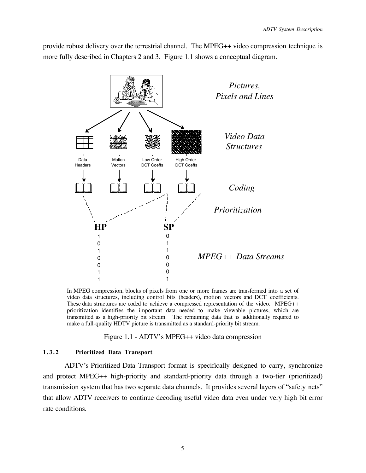provide robust delivery over the terrestrial channel. The MPEG++ video compression technique is more fully described in Chapters 2 and 3. Figure 1.1 shows a conceptual diagram.



In MPEG compression, blocks of pixels from one or more frames are transformed into a set of video data structures, including control bits (headers), motion vectors and DCT coefficients. These data structures are coded to achieve a compressed representation of the video. MPEG++ prioritization identifies the important data needed to make viewable pictures, which are transmitted as a high-priority bit stream. The remaining data that is additionally required to make a full-quality HDTV picture is transmitted as a standard-priority bit stream.

Figure 1.1 - ADTV's MPEG++ video data compression

### **1.3.2 Prioritized Data Transport**

ADTV's Prioritized Data Transport format is specifically designed to carry, synchronize and protect MPEG++ high-priority and standard-priority data through a two-tier (prioritized) transmission system that has two separate data channels. It provides several layers of "safety nets" that allow ADTV receivers to continue decoding useful video data even under very high bit error rate conditions.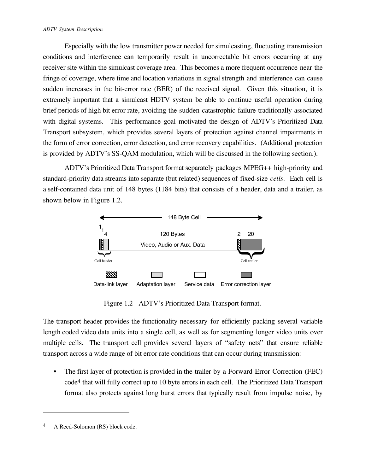Especially with the low transmitter power needed for simulcasting, fluctuating transmission conditions and interference can temporarily result in uncorrectable bit errors occurring at any receiver site within the simulcast coverage area. This becomes a more frequent occurrence near the fringe of coverage, where time and location variations in signal strength and interference can cause sudden increases in the bit-error rate (BER) of the received signal. Given this situation, it is extremely important that a simulcast HDTV system be able to continue useful operation during brief periods of high bit error rate, avoiding the sudden catastrophic failure traditionally associated with digital systems. This performance goal motivated the design of ADTV's Prioritized Data Transport subsystem, which provides several layers of protection against channel impairments in the form of error correction, error detection, and error recovery capabilities. (Additional protection is provided by ADTV's SS-QAM modulation, which will be discussed in the following section.).

ADTV's Prioritized Data Transport format separately packages MPEG++ high-priority and standard-priority data streams into separate (but related) sequences of fixed-size *cells*. Each cell is a self-contained data unit of 148 bytes (1184 bits) that consists of a header, data and a trailer, as shown below in Figure 1.2.



Figure 1.2 - ADTV's Prioritized Data Transport format.

The transport header provides the functionality necessary for efficiently packing several variable length coded video data units into a single cell, as well as for segmenting longer video units over multiple cells. The transport cell provides several layers of "safety nets" that ensure reliable transport across a wide range of bit error rate conditions that can occur during transmission:

• The first layer of protection is provided in the trailer by a Forward Error Correction (FEC) code4 that will fully correct up to 10 byte errors in each cell. The Prioritized Data Transport format also protects against long burst errors that typically result from impulse noise, by

<u>.</u>

<sup>4</sup> A Reed-Solomon (RS) block code.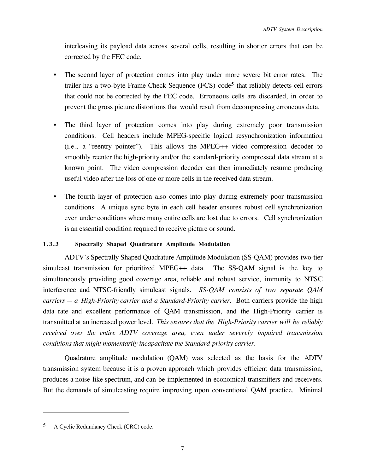interleaving its payload data across several cells, resulting in shorter errors that can be corrected by the FEC code.

- The second layer of protection comes into play under more severe bit error rates. The trailer has a two-byte Frame Check Sequence (FCS) code<sup>5</sup> that reliably detects cell errors that could not be corrected by the FEC code. Erroneous cells are discarded, in order to prevent the gross picture distortions that would result from decompressing erroneous data.
- The third layer of protection comes into play during extremely poor transmission conditions. Cell headers include MPEG-specific logical resynchronization information (i.e., a "reentry pointer"). This allows the MPEG++ video compression decoder to smoothly reenter the high-priority and/or the standard-priority compressed data stream at a known point. The video compression decoder can then immediately resume producing useful video after the loss of one or more cells in the received data stream.
- The fourth layer of protection also comes into play during extremely poor transmission conditions. A unique sync byte in each cell header ensures robust cell synchronization even under conditions where many entire cells are lost due to errors. Cell synchronization is an essential condition required to receive picture or sound.

### **1.3.3 Spectrally Shaped Quadrature Amplitude Modulation**

ADTV's Spectrally Shaped Quadrature Amplitude Modulation (SS-QAM) provides two-tier simulcast transmission for prioritized MPEG++ data. The SS-QAM signal is the key to simultaneously providing good coverage area, reliable and robust service, immunity to NTSC interference and NTSC-friendly simulcast signals. *SS-QAM consists of two separate QAM carriers — a High-Priority carrier and a Standard-Priority carrier.* Both carriers provide the high data rate and excellent performance of QAM transmission, and the High-Priority carrier is transmitted at an increased power level. *This ensures that the High-Priority carrier will be reliably received over the entire ADTV coverage area, even under severely impaired transmission conditions that might momentarily incapacitate the Standard-priority carrier.*

Quadrature amplitude modulation (QAM) was selected as the basis for the ADTV transmission system because it is a proven approach which provides efficient data transmission, produces a noise-like spectrum, and can be implemented in economical transmitters and receivers. But the demands of simulcasting require improving upon conventional QAM practice. Minimal

-

<sup>5</sup> A Cyclic Redundancy Check (CRC) code.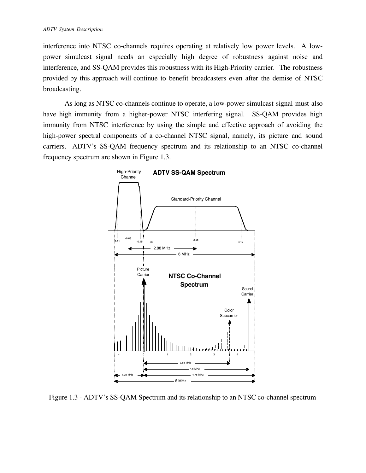interference into NTSC co-channels requires operating at relatively low power levels. A lowpower simulcast signal needs an especially high degree of robustness against noise and interference, and SS-QAM provides this robustness with its High-Priority carrier. The robustness provided by this approach will continue to benefit broadcasters even after the demise of NTSC broadcasting.

As long as NTSC co-channels continue to operate, a low-power simulcast signal must also have high immunity from a higher-power NTSC interfering signal. SS-QAM provides high immunity from NTSC interference by using the simple and effective approach of avoiding the high-power spectral components of a co-channel NTSC signal, namely, its picture and sound carriers. ADTV's SS-QAM frequency spectrum and its relationship to an NTSC co-channel frequency spectrum are shown in Figure 1.3.



Figure 1.3 - ADTV's SS-QAM Spectrum and its relationship to an NTSC co-channel spectrum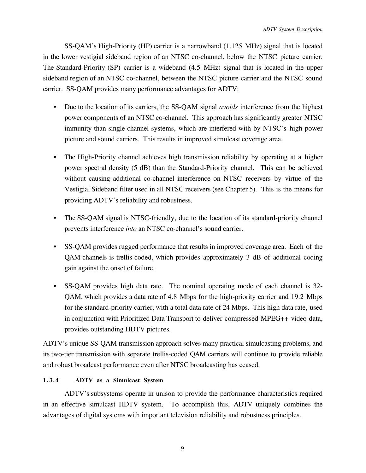SS-QAM's High-Priority (HP) carrier is a narrowband (1.125 MHz) signal that is located in the lower vestigial sideband region of an NTSC co-channel, below the NTSC picture carrier. The Standard-Priority (SP) carrier is a wideband (4.5 MHz) signal that is located in the upper sideband region of an NTSC co-channel, between the NTSC picture carrier and the NTSC sound carrier. SS-QAM provides many performance advantages for ADTV:

- Due to the location of its carriers, the SS-QAM signal *avoids* interference from the highest power components of an NTSC co-channel. This approach has significantly greater NTSC immunity than single-channel systems, which are interfered with by NTSC's high-power picture and sound carriers. This results in improved simulcast coverage area.
- The High-Priority channel achieves high transmission reliability by operating at a higher power spectral density (5 dB) than the Standard-Priority channel. This can be achieved without causing additional co-channel interference on NTSC receivers by virtue of the Vestigial Sideband filter used in all NTSC receivers (see Chapter 5). This is the means for providing ADTV's reliability and robustness.
- The SS-QAM signal is NTSC-friendly, due to the location of its standard-priority channel prevents interference *into* an NTSC co-channel's sound carrier.
- SS-QAM provides rugged performance that results in improved coverage area. Each of the QAM channels is trellis coded, which provides approximately 3 dB of additional coding gain against the onset of failure.
- SS-QAM provides high data rate. The nominal operating mode of each channel is 32- QAM, which provides a data rate of 4.8 Mbps for the high-priority carrier and 19.2 Mbps for the standard-priority carrier, with a total data rate of 24 Mbps. This high data rate, used in conjunction with Prioritized Data Transport to deliver compressed MPEG++ video data, provides outstanding HDTV pictures.

ADTV's unique SS-QAM transmission approach solves many practical simulcasting problems, and its two-tier transmission with separate trellis-coded QAM carriers will continue to provide reliable and robust broadcast performance even after NTSC broadcasting has ceased.

### **1.3.4 ADTV as a Simulcast System**

ADTV's subsystems operate in unison to provide the performance characteristics required in an effective simulcast HDTV system. To accomplish this, ADTV uniquely combines the advantages of digital systems with important television reliability and robustness principles.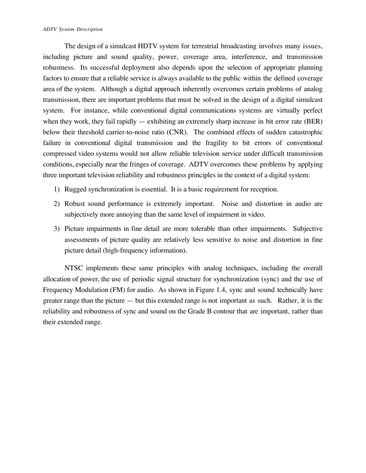The design of a simulcast HDTV system for terrestrial broadcasting involves many issues, including picture and sound quality, power, coverage area, interference, and transmission robustness. Its successful deployment also depends upon the selection of appropriate planning factors to ensure that a reliable service is always available to the public within the defined coverage area of the system. Although a digital approach inherently overcomes certain problems of analog transmission, there are important problems that must be solved in the design of a digital simulcast system. For instance, while conventional digital communications systems are virtually perfect when they work, they fail rapidly — exhibiting an extremely sharp increase in bit error rate (BER) below their threshold carrier-to-noise ratio (CNR). The combined effects of sudden catastrophic failure in conventional digital transmission and the fragility to bit errors of conventional compressed video systems would not allow reliable television service under difficult transmission conditions, especially near the fringes of coverage. ADTV overcomes these problems by applying three important television reliability and robustness principles in the context of a digital system:

- 1) Rugged synchronization is essential. It is a basic requirement for reception.
- 2) Robust sound performance is extremely important. Noise and distortion in audio are subjectively more annoying than the same level of impairment in video.
- 3) Picture impairments in fine detail are more tolerable than other impairments. Subjective assessments of picture quality are relatively less sensitive to noise and distortion in fine picture detail (high-frequency information).

NTSC implements these same principles with analog techniques, including the overall allocation of power, the use of periodic signal structure for synchronization (sync) and the use of Frequency Modulation (FM) for audio. As shown in Figure 1.4, sync and sound technically have greater range than the picture — but this extended range is not important as such. Rather, it is the reliability and robustness of sync and sound on the Grade B contour that are important, rather than their extended range.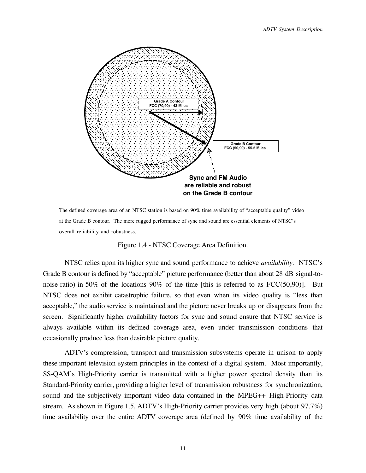

The defined coverage area of an NTSC station is based on 90% time availability of "acceptable quality" video at the Grade B contour. The more rugged performance of sync and sound are essential elements of NTSC's overall reliability and robustness.

Figure 1.4 - NTSC Coverage Area Definition.

NTSC relies upon its higher sync and sound performance to achieve *availability*. NTSC's Grade B contour is defined by "acceptable" picture performance (better than about 28 dB signal-tonoise ratio) in 50% of the locations 90% of the time [this is referred to as FCC(50,90)]. But NTSC does not exhibit catastrophic failure, so that even when its video quality is "less than acceptable," the audio service is maintained and the picture never breaks up or disappears from the screen. Significantly higher availability factors for sync and sound ensure that NTSC service is always available within its defined coverage area, even under transmission conditions that occasionally produce less than desirable picture quality.

ADTV's compression, transport and transmission subsystems operate in unison to apply these important television system principles in the context of a digital system. Most importantly, SS-QAM's High-Priority carrier is transmitted with a higher power spectral density than its Standard-Priority carrier, providing a higher level of transmission robustness for synchronization, sound and the subjectively important video data contained in the MPEG++ High-Priority data stream. As shown in Figure 1.5, ADTV's High-Priority carrier provides very high (about 97.7%) time availability over the entire ADTV coverage area (defined by 90% time availability of the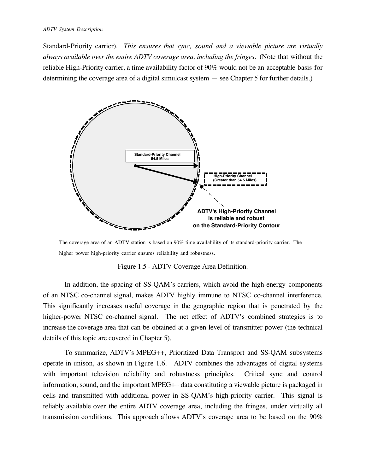Standard-Priority carrier). *This ensures that sync, sound and a viewable picture are virtually always available over the entire ADTV coverage area, including the fringes.* (Note that without the reliable High-Priority carrier, a time availability factor of 90% would not be an acceptable basis for determining the coverage area of a digital simulcast system — see Chapter 5 for further details.)



The coverage area of an ADTV station is based on 90% time availability of its standard-priority carrier. The higher power high-priority carrier ensures reliability and robustness.

Figure 1.5 - ADTV Coverage Area Definition.

In addition, the spacing of SS-QAM's carriers, which avoid the high-energy components of an NTSC co-channel signal, makes ADTV highly immune to NTSC co-channel interference. This significantly increases useful coverage in the geographic region that is penetrated by the higher-power NTSC co-channel signal. The net effect of ADTV's combined strategies is to increase the coverage area that can be obtained at a given level of transmitter power (the technical details of this topic are covered in Chapter 5).

To summarize, ADTV's MPEG++, Prioritized Data Transport and SS-QAM subsystems operate in unison, as shown in Figure 1.6. ADTV combines the advantages of digital systems with important television reliability and robustness principles. Critical sync and control information, sound, and the important MPEG++ data constituting a viewable picture is packaged in cells and transmitted with additional power in SS-QAM's high-priority carrier. This signal is reliably available over the entire ADTV coverage area, including the fringes, under virtually all transmission conditions. This approach allows ADTV's coverage area to be based on the 90%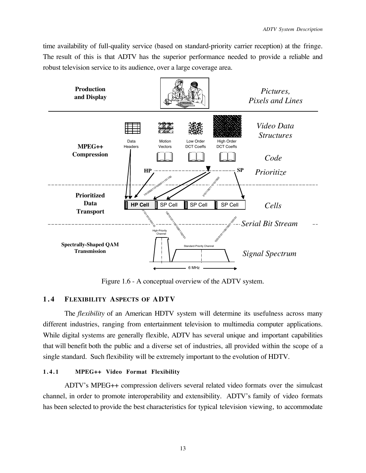time availability of full-quality service (based on standard-priority carrier reception) at the fringe. The result of this is that ADTV has the superior performance needed to provide a reliable and robust television service to its audience, over a large coverage area.



Figure 1.6 - A conceptual overview of the ADTV system.

### **1.4 FLEXIBILITY ASPECTS OF ADTV**

The *flexibility* of an American HDTV system will determine its usefulness across many different industries, ranging from entertainment television to multimedia computer applications. While digital systems are generally flexible, ADTV has several unique and important capabilities that will benefit both the public and a diverse set of industries, all provided within the scope of a single standard. Such flexibility will be extremely important to the evolution of HDTV.

### **1.4.1 MPEG++ Video Format Flexibility**

ADTV's MPEG++ compression delivers several related video formats over the simulcast channel, in order to promote interoperability and extensibility. ADTV's family of video formats has been selected to provide the best characteristics for typical television viewing, to accommodate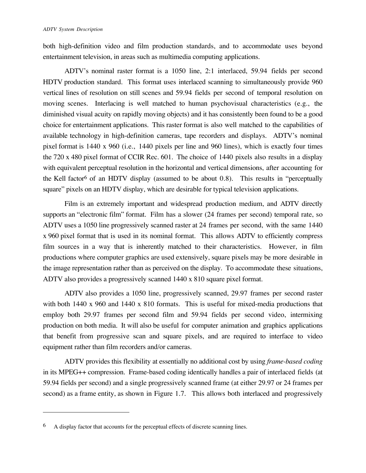both high-definition video and film production standards, and to accommodate uses beyond entertainment television, in areas such as multimedia computing applications.

ADTV's nominal raster format is a 1050 line, 2:1 interlaced, 59.94 fields per second HDTV production standard. This format uses interlaced scanning to simultaneously provide 960 vertical lines of resolution on still scenes and 59.94 fields per second of temporal resolution on moving scenes. Interlacing is well matched to human psychovisual characteristics (e.g., the diminished visual acuity on rapidly moving objects) and it has consistently been found to be a good choice for entertainment applications. This raster format is also well matched to the capabilities of available technology in high-definition cameras, tape recorders and displays. ADTV's nominal pixel format is 1440 x 960 (i.e., 1440 pixels per line and 960 lines), which is exactly four times the 720 x 480 pixel format of CCIR Rec. 601. The choice of 1440 pixels also results in a display with equivalent perceptual resolution in the horizontal and vertical dimensions, after accounting for the Kell factor<sup>6</sup> of an HDTV display (assumed to be about  $0.8$ ). This results in "perceptually square" pixels on an HDTV display, which are desirable for typical television applications.

Film is an extremely important and widespread production medium, and ADTV directly supports an "electronic film" format. Film has a slower (24 frames per second) temporal rate, so ADTV uses a 1050 line progressively scanned raster at 24 frames per second, with the same 1440 x 960 pixel format that is used in its nominal format. This allows ADTV to efficiently compress film sources in a way that is inherently matched to their characteristics. However, in film productions where computer graphics are used extensively, square pixels may be more desirable in the image representation rather than as perceived on the display. To accommodate these situations, ADTV also provides a progressively scanned 1440 x 810 square pixel format.

ADTV also provides a 1050 line, progressively scanned, 29.97 frames per second raster with both 1440 x 960 and 1440 x 810 formats. This is useful for mixed-media productions that employ both 29.97 frames per second film and 59.94 fields per second video, intermixing production on both media. It will also be useful for computer animation and graphics applications that benefit from progressive scan and square pixels, and are required to interface to video equipment rather than film recorders and/or cameras.

ADTV provides this flexibility at essentially no additional cost by using *frame-based coding* in its MPEG++ compression. Frame-based coding identically handles a pair of interlaced fields (at 59.94 fields per second) and a single progressively scanned frame (at either 29.97 or 24 frames per second) as a frame entity, as shown in Figure 1.7. This allows both interlaced and progressively

-

 $6$  A display factor that accounts for the perceptual effects of discrete scanning lines.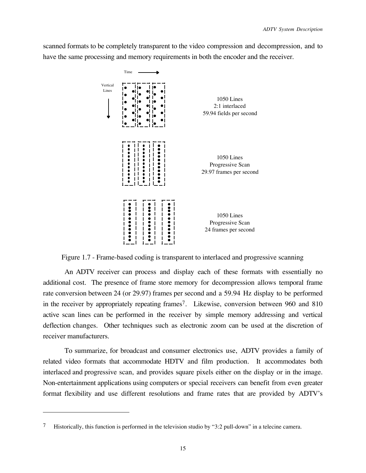scanned formats to be completely transparent to the video compression and decompression, and to have the same processing and memory requirements in both the encoder and the receiver.



Figure 1.7 - Frame-based coding is transparent to interlaced and progressive scanning

An ADTV receiver can process and display each of these formats with essentially no additional cost. The presence of frame store memory for decompression allows temporal frame rate conversion between 24 (or 29.97) frames per second and a 59.94 Hz display to be performed in the receiver by appropriately repeating frames7. Likewise, conversion between 960 and 810 active scan lines can be performed in the receiver by simple memory addressing and vertical deflection changes. Other techniques such as electronic zoom can be used at the discretion of receiver manufacturers.

To summarize, for broadcast and consumer electronics use, ADTV provides a family of related video formats that accommodate HDTV and film production. It accommodates both interlaced and progressive scan, and provides square pixels either on the display or in the image. Non-entertainment applications using computers or special receivers can benefit from even greater format flexibility and use different resolutions and frame rates that are provided by ADTV's

 $\overline{a}$ 

Historically, this function is performed in the television studio by "3:2 pull-down" in a telecine camera.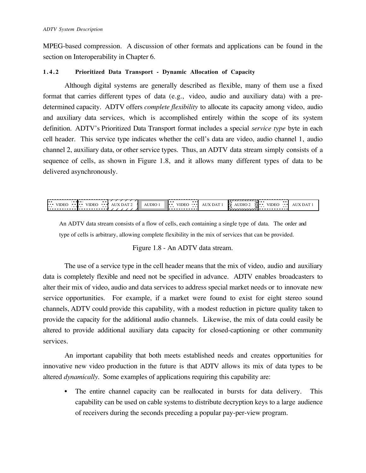MPEG-based compression. A discussion of other formats and applications can be found in the section on Interoperability in Chapter 6.

### **1.4.2 Prioritized Data Transport - Dynamic Allocation of Capacity**

Although digital systems are generally described as flexible, many of them use a fixed format that carries different types of data (e.g., video, audio and auxiliary data) with a predetermined capacity. ADTV offers *complete flexibility* to allocate its capacity among video, audio and auxiliary data services, which is accomplished entirely within the scope of its system definition. ADTV's Prioritized Data Transport format includes a special *service type* byte in each cell header. This service type indicates whether the cell's data are video, audio channel 1, audio channel 2, auxiliary data, or other service types. Thus, an ADTV data stream simply consists of a sequence of cells, as shown in Figure 1.8, and it allows many different types of data to be delivered asynchronously.

| .<br>. .<br>. .<br>.<br>. .<br>.<br>. .<br>. | . .<br>. .<br>. .<br>.<br>. .<br>. | . .<br>.<br>ж.<br>--<br>.<br>.<br>. .<br>. |
|----------------------------------------------|------------------------------------|--------------------------------------------|

An ADTV data stream consists of a flow of cells, each containing a single type of data. The order and type of cells is arbitrary, allowing complete flexibility in the mix of services that can be provided.

### Figure 1.8 - An ADTV data stream.

The use of a service type in the cell header means that the mix of video, audio and auxiliary data is completely flexible and need not be specified in advance. ADTV enables broadcasters to alter their mix of video, audio and data services to address special market needs or to innovate new service opportunities. For example, if a market were found to exist for eight stereo sound channels, ADTV could provide this capability, with a modest reduction in picture quality taken to provide the capacity for the additional audio channels. Likewise, the mix of data could easily be altered to provide additional auxiliary data capacity for closed-captioning or other community services.

An important capability that both meets established needs and creates opportunities for innovative new video production in the future is that ADTV allows its mix of data types to be altered *dynamically*.Some examples of applications requiring this capability are:

• The entire channel capacity can be reallocated in bursts for data delivery. This capability can be used on cable systems to distribute decryption keys to a large audience of receivers during the seconds preceding a popular pay-per-view program.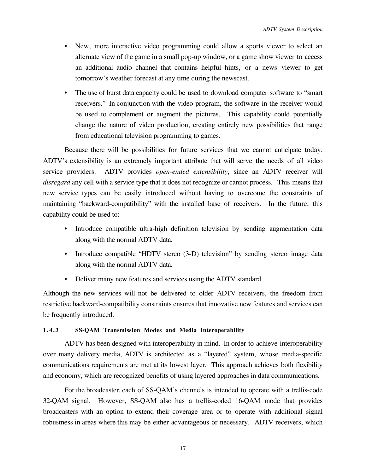- New, more interactive video programming could allow a sports viewer to select an alternate view of the game in a small pop-up window, or a game show viewer to access an additional audio channel that contains helpful hints, or a news viewer to get tomorrow's weather forecast at any time during the newscast.
- The use of burst data capacity could be used to download computer software to "smart" receivers." In conjunction with the video program, the software in the receiver would be used to complement or augment the pictures. This capability could potentially change the nature of video production, creating entirely new possibilities that range from educational television programming to games.

Because there will be possibilities for future services that we cannot anticipate today, ADTV's extensibility is an extremely important attribute that will serve the needs of all video service providers. ADTV provides *open-ended extensibility*, since an ADTV receiver will *disregard* any cell with a service type that it does not recognize or cannot process. This means that new service types can be easily introduced without having to overcome the constraints of maintaining "backward-compatibility" with the installed base of receivers. In the future, this capability could be used to:

- Introduce compatible ultra-high definition television by sending augmentation data along with the normal ADTV data.
- Introduce compatible "HDTV stereo (3-D) television" by sending stereo image data along with the normal ADTV data.
- Deliver many new features and services using the ADTV standard.

Although the new services will not be delivered to older ADTV receivers, the freedom from restrictive backward-compatibility constraints ensures that innovative new features and services can be frequently introduced.

#### **1.4.3 SS-QAM Transmission Modes and Media Interoperability**

ADTV has been designed with interoperability in mind. In order to achieve interoperability over many delivery media, ADTV is architected as a "layered" system, whose media-specific communications requirements are met at its lowest layer. This approach achieves both flexibility and economy, which are recognized benefits of using layered approaches in data communications.

For the broadcaster, each of SS-QAM's channels is intended to operate with a trellis-code 32-QAM signal. However, SS-QAM also has a trellis-coded 16-QAM mode that provides broadcasters with an option to extend their coverage area or to operate with additional signal robustness in areas where this may be either advantageous or necessary. ADTV receivers, which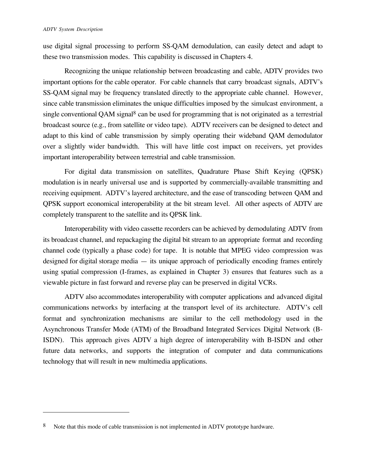$\overline{a}$ 

use digital signal processing to perform SS-QAM demodulation, can easily detect and adapt to these two transmission modes. This capability is discussed in Chapters 4.

Recognizing the unique relationship between broadcasting and cable, ADTV provides two important options for the cable operator. For cable channels that carry broadcast signals, ADTV's SS-QAM signal may be frequency translated directly to the appropriate cable channel. However, since cable transmission eliminates the unique difficulties imposed by the simulcast environment, a single conventional QAM signal<sup>8</sup> can be used for programming that is not originated as a terrestrial broadcast source (e.g., from satellite or video tape). ADTV receivers can be designed to detect and adapt to this kind of cable transmission by simply operating their wideband QAM demodulator over a slightly wider bandwidth. This will have little cost impact on receivers, yet provides important interoperability between terrestrial and cable transmission.

For digital data transmission on satellites, Quadrature Phase Shift Keying (QPSK) modulation is in nearly universal use and is supported by commercially-available transmitting and receiving equipment. ADTV's layered architecture, and the ease of transcoding between QAM and QPSK support economical interoperability at the bit stream level. All other aspects of ADTV are completely transparent to the satellite and its QPSK link.

Interoperability with video cassette recorders can be achieved by demodulating ADTV from its broadcast channel, and repackaging the digital bit stream to an appropriate format and recording channel code (typically a phase code) for tape. It is notable that MPEG video compression was designed for digital storage media — its unique approach of periodically encoding frames entirely using spatial compression (I-frames, as explained in Chapter 3) ensures that features such as a viewable picture in fast forward and reverse play can be preserved in digital VCRs.

ADTV also accommodates interoperability with computer applications and advanced digital communications networks by interfacing at the transport level of its architecture. ADTV's cell format and synchronization mechanisms are similar to the cell methodology used in the Asynchronous Transfer Mode (ATM) of the Broadband Integrated Services Digital Network (B-ISDN). This approach gives ADTV a high degree of interoperability with B-ISDN and other future data networks, and supports the integration of computer and data communications technology that will result in new multimedia applications.

<sup>&</sup>lt;sup>8</sup> Note that this mode of cable transmission is not implemented in ADTV prototype hardware.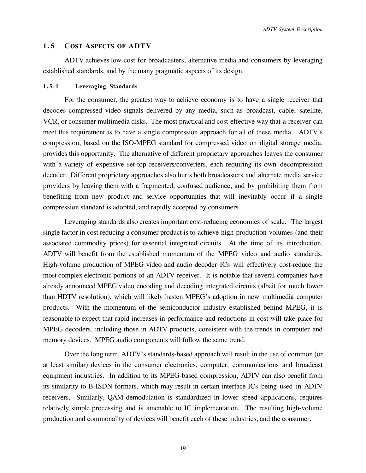*ADTV System Description*

### **1.5 COST ASPECTS OF ADTV**

ADTV achieves low cost for broadcasters, alternative media and consumers by leveraging established standards, and by the many pragmatic aspects of its design.

#### **1.5.1 Leveraging Standards**

For the consumer, the greatest way to achieve economy is to have a single receiver that decodes compressed video signals delivered by any media, such as broadcast, cable, satellite, VCR, or consumer multimedia disks. The most practical and cost-effective way that a receiver can meet this requirement is to have a single compression approach for all of these media. ADTV's compression, based on the ISO-MPEG standard for compressed video on digital storage media, provides this opportunity. The alternative of different proprietary approaches leaves the consumer with a variety of expensive set-top receivers/converters, each requiring its own decompression decoder. Different proprietary approaches also hurts both broadcasters and alternate media service providers by leaving them with a fragmented, confused audience, and by prohibiting them from benefiting from new product and service opportunities that will inevitably occur if a single compression standard is adopted, and rapidly accepted by consumers.

Leveraging standards also creates important cost-reducing economies of scale. The largest single factor in cost reducing a consumer product is to achieve high production volumes (and their associated commodity prices) for essential integrated circuits. At the time of its introduction, ADTV will benefit from the established momentum of the MPEG video and audio standards. High-volume production of MPEG video and audio decoder ICs will effectively cost-reduce the most complex electronic portions of an ADTV receiver. It is notable that several companies have already announced MPEG video encoding and decoding integrated circuits (albeit for much lower than HDTV resolution), which will likely hasten MPEG's adoption in new multimedia computer products. With the momentum of the semiconductor industry established behind MPEG, it is reasonable to expect that rapid increases in performance and reductions in cost will take place for MPEG decoders, including those in ADTV products, consistent with the trends in computer and memory devices. MPEG audio components will follow the same trend.

Over the long term, ADTV's standards-based approach will result in the use of common (or at least similar) devices in the consumer electronics, computer, communications and broadcast equipment industries. In addition to its MPEG-based compression, ADTV can also benefit from its similarity to B-ISDN formats, which may result in certain interface ICs being used in ADTV receivers. Similarly, QAM demodulation is standardized in lower speed applications, requires relatively simple processing and is amenable to IC implementation. The resulting high-volume production and commonality of devices will benefit each of these industries, and the consumer.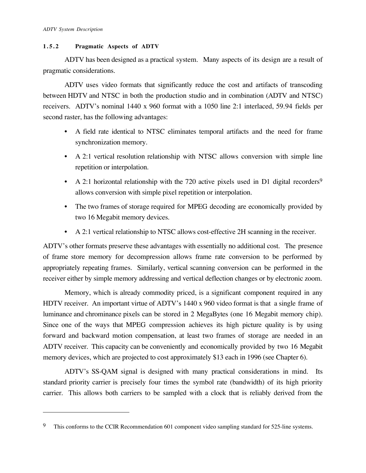<u>.</u>

### **1.5.2 Pragmatic Aspects of ADTV**

ADTV has been designed as a practical system. Many aspects of its design are a result of pragmatic considerations.

ADTV uses video formats that significantly reduce the cost and artifacts of transcoding between HDTV and NTSC in both the production studio and in combination (ADTV and NTSC) receivers. ADTV's nominal 1440 x 960 format with a 1050 line 2:1 interlaced, 59.94 fields per second raster, has the following advantages:

- A field rate identical to NTSC eliminates temporal artifacts and the need for frame synchronization memory.
- A 2:1 vertical resolution relationship with NTSC allows conversion with simple line repetition or interpolation.
- A 2:1 horizontal relationship with the 720 active pixels used in D1 digital recorders<sup>9</sup> allows conversion with simple pixel repetition or interpolation.
- The two frames of storage required for MPEG decoding are economically provided by two 16 Megabit memory devices.
- A 2:1 vertical relationship to NTSC allows cost-effective 2H scanning in the receiver.

ADTV's other formats preserve these advantages with essentially no additional cost. The presence of frame store memory for decompression allows frame rate conversion to be performed by appropriately repeating frames. Similarly, vertical scanning conversion can be performed in the receiver either by simple memory addressing and vertical deflection changes or by electronic zoom.

Memory, which is already commodity priced, is a significant component required in any HDTV receiver. An important virtue of ADTV's 1440 x 960 video format is that a single frame of luminance and chrominance pixels can be stored in 2 MegaBytes (one 16 Megabit memory chip). Since one of the ways that MPEG compression achieves its high picture quality is by using forward and backward motion compensation, at least two frames of storage are needed in an ADTV receiver. This capacity can be conveniently and economically provided by two 16 Megabit memory devices, which are projected to cost approximately \$13 each in 1996 (see Chapter 6).

ADTV's SS-QAM signal is designed with many practical considerations in mind. Its standard priority carrier is precisely four times the symbol rate (bandwidth) of its high priority carrier. This allows both carriers to be sampled with a clock that is reliably derived from the

<sup>&</sup>lt;sup>9</sup> This conforms to the CCIR Recommendation 601 component video sampling standard for 525-line systems.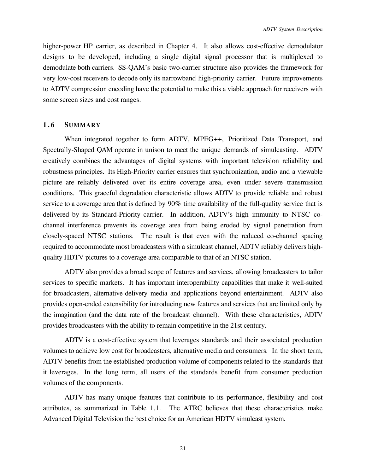higher-power HP carrier, as described in Chapter 4. It also allows cost-effective demodulator designs to be developed, including a single digital signal processor that is multiplexed to demodulate both carriers. SS-QAM's basic two-carrier structure also provides the framework for very low-cost receivers to decode only its narrowband high-priority carrier. Future improvements to ADTV compression encoding have the potential to make this a viable approach for receivers with some screen sizes and cost ranges.

### **1.6 SUMMARY**

When integrated together to form ADTV, MPEG++, Prioritized Data Transport, and Spectrally-Shaped QAM operate in unison to meet the unique demands of simulcasting. ADTV creatively combines the advantages of digital systems with important television reliability and robustness principles. Its High-Priority carrier ensures that synchronization, audio and a viewable picture are reliably delivered over its entire coverage area, even under severe transmission conditions. This graceful degradation characteristic allows ADTV to provide reliable and robust service to a coverage area that is defined by 90% time availability of the full-quality service that is delivered by its Standard-Priority carrier. In addition, ADTV's high immunity to NTSC cochannel interference prevents its coverage area from being eroded by signal penetration from closely-spaced NTSC stations. The result is that even with the reduced co-channel spacing required to accommodate most broadcasters with a simulcast channel, ADTV reliably delivers highquality HDTV pictures to a coverage area comparable to that of an NTSC station.

ADTV also provides a broad scope of features and services, allowing broadcasters to tailor services to specific markets. It has important interoperability capabilities that make it well-suited for broadcasters, alternative delivery media and applications beyond entertainment. ADTV also provides open-ended extensibility for introducing new features and services that are limited only by the imagination (and the data rate of the broadcast channel). With these characteristics, ADTV provides broadcasters with the ability to remain competitive in the 21st century.

ADTV is a cost-effective system that leverages standards and their associated production volumes to achieve low cost for broadcasters, alternative media and consumers. In the short term, ADTV benefits from the established production volume of components related to the standards that it leverages. In the long term, all users of the standards benefit from consumer production volumes of the components.

ADTV has many unique features that contribute to its performance, flexibility and cost attributes, as summarized in Table 1.1. The ATRC believes that these characteristics make Advanced Digital Television the best choice for an American HDTV simulcast system.

21